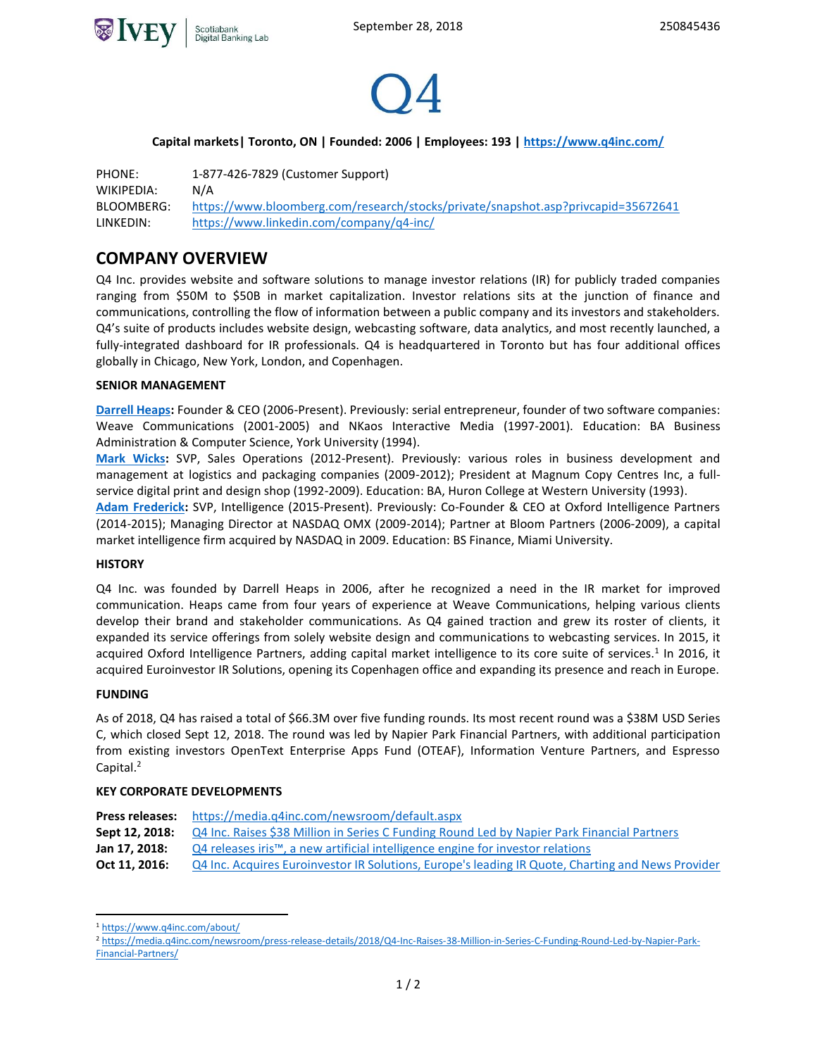



## **Capital markets| Toronto, ON | Founded: 2006 | Employees: 193 [| https://www.q4inc.com/](https://www.q4inc.com/)**

PHONE: 1-877-426-7829 (Customer Support) WIKIPEDIA: [N/A](https://en.wikipedia.org/wiki/VersaBank) BLOOMBERG: <https://www.bloomberg.com/research/stocks/private/snapshot.asp?privcapid=35672641> LINKEDIN: <https://www.linkedin.com/company/q4-inc/>

## **COMPANY OVERVIEW**

Q4 Inc. provides website and software solutions to manage investor relations (IR) for publicly traded companies ranging from \$50M to \$50B in market capitalization. Investor relations sits at the junction of finance and communications, controlling the flow of information between a public company and its investors and stakeholders. Q4's suite of products includes website design, webcasting software, data analytics, and most recently launched, a fully-integrated dashboard for IR professionals. Q4 is headquartered in Toronto but has four additional offices globally in Chicago, New York, London, and Copenhagen.

#### **SENIOR MANAGEMENT**

**[Darrell Heaps:](https://www.linkedin.com/in/darrellheaps/)** Founder & CEO (2006-Present). Previously: serial entrepreneur, founder of two software companies: Weave Communications (2001-2005) and NKaos Interactive Media (1997-2001). Education: BA Business Administration & Computer Science, York University (1994).

**[Mark Wicks:](https://www.linkedin.com/in/markwix/)** SVP, Sales Operations (2012-Present). Previously: various roles in business development and management at logistics and packaging companies (2009-2012); President at Magnum Copy Centres Inc, a fullservice digital print and design shop (1992-2009). Education: BA, Huron College at Western University (1993).

**[Adam Frederick:](https://www.linkedin.com/in/arfrederick/)** SVP, Intelligence (2015-Present). Previously: Co-Founder & CEO at Oxford Intelligence Partners (2014-2015); Managing Director at NASDAQ OMX (2009-2014); Partner at Bloom Partners (2006-2009), a capital market intelligence firm acquired by NASDAQ in 2009. Education: BS Finance, Miami University.

#### **HISTORY**

Q4 Inc. was founded by Darrell Heaps in 2006, after he recognized a need in the IR market for improved communication. Heaps came from four years of experience at Weave Communications, helping various clients develop their brand and stakeholder communications. As Q4 gained traction and grew its roster of clients, it expanded its service offerings from solely website design and communications to webcasting services. In 2015, it acquired Oxford Intelligence Partners, adding capital market intelligence to its core suite of services.<sup>1</sup> In 2016, it acquired Euroinvestor IR Solutions, opening its Copenhagen office and expanding its presence and reach in Europe.

## **FUNDING**

 $\overline{a}$ 

As of 2018, Q4 has raised a total of \$66.3M over five funding rounds. Its most recent round was a \$38M USD Series C, which closed Sept 12, 2018. The round was led by Napier Park Financial Partners, with additional participation from existing investors OpenText Enterprise Apps Fund (OTEAF), Information Venture Partners, and Espresso Capital.<sup>2</sup>

#### **KEY CORPORATE DEVELOPMENTS**

| <b>Press releases:</b> | https://media.q4inc.com/newsroom/default.aspx                                                              |
|------------------------|------------------------------------------------------------------------------------------------------------|
| Sept 12, 2018:         | Q4 Inc. Raises \$38 Million in Series C Funding Round Led by Napier Park Financial Partners                |
| Jan 17, 2018:          | $QA$ releases iris <sup><math>m</math></sup> , a new artificial intelligence engine for investor relations |
| Oct 11, 2016:          | Q4 Inc. Acquires Euroinvestor IR Solutions, Europe's leading IR Quote, Charting and News Provider          |
|                        |                                                                                                            |

<sup>1</sup> <https://www.q4inc.com/about/>

<sup>2</sup> [https://media.q4inc.com/newsroom/press-release-details/2018/Q4-Inc-Raises-38-Million-in-Series-C-Funding-Round-Led-by-Napier-Park-](https://media.q4inc.com/newsroom/press-release-details/2018/Q4-Inc-Raises-38-Million-in-Series-C-Funding-Round-Led-by-Napier-Park-Financial-Partners/)[Financial-Partners/](https://media.q4inc.com/newsroom/press-release-details/2018/Q4-Inc-Raises-38-Million-in-Series-C-Funding-Round-Led-by-Napier-Park-Financial-Partners/)